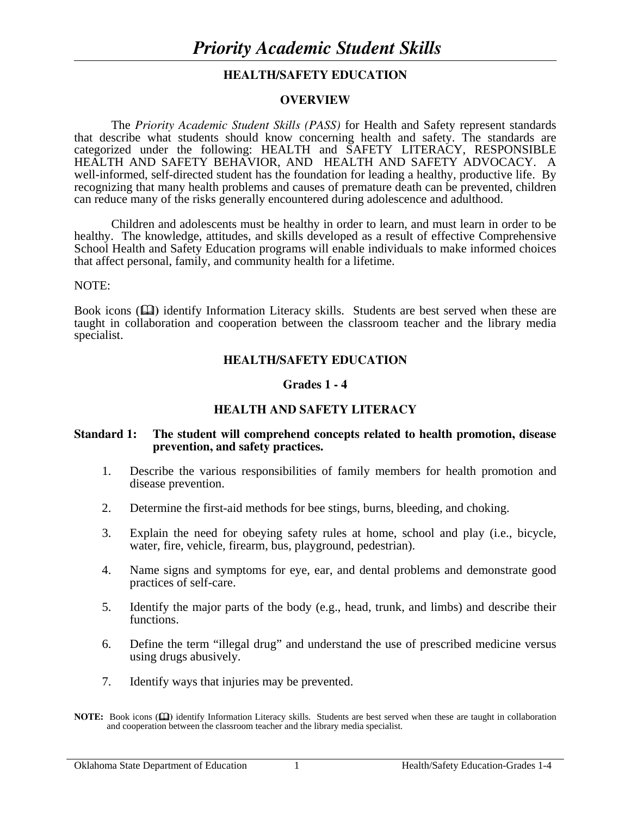## **HEALTH/SAFETY EDUCATION**

#### **OVERVIEW**

The *Priority Academic Student Skills (PASS)* for Health and Safety represent standards that describe what students should know concerning health and safety. The standards are categorized under the following: HEALTH and SAFETY LITERACY, RESPONSIBLE HEALTH AND SAFETY BEHAVIOR, AND HEALTH AND SAFETY ADVOCACY. A well-informed, self-directed student has the foundation for leading a healthy, productive life. By recognizing that many health problems and causes of premature death can be prevented, children can reduce many of the risks generally encountered during adolescence and adulthood.

 Children and adolescents must be healthy in order to learn, and must learn in order to be healthy. The knowledge, attitudes, and skills developed as a result of effective Comprehensive School Health and Safety Education programs will enable individuals to make informed choices that affect personal, family, and community health for a lifetime.

#### NOTE:

Book icons ( $\Box$ ) identify Information Literacy skills. Students are best served when these are taught in collaboration and cooperation between the classroom teacher and the library media specialist.

## **HEALTH/SAFETY EDUCATION**

#### **Grades 1 - 4**

## **HEALTH AND SAFETY LITERACY**

#### **Standard 1: The student will comprehend concepts related to health promotion, disease prevention, and safety practices.**

- 1. Describe the various responsibilities of family members for health promotion and disease prevention.
- 2. Determine the first-aid methods for bee stings, burns, bleeding, and choking.
- 3. Explain the need for obeying safety rules at home, school and play (i.e., bicycle, water, fire, vehicle, firearm, bus, playground, pedestrian).
- 4. Name signs and symptoms for eye, ear, and dental problems and demonstrate good practices of self-care.
- 5. Identify the major parts of the body (e.g., head, trunk, and limbs) and describe their functions.
- 6. Define the term "illegal drug" and understand the use of prescribed medicine versus using drugs abusively.
- 7. Identify ways that injuries may be prevented.

**NOTE:** Book icons ( $\Box$ ) identify Information Literacy skills. Students are best served when these are taught in collaboration and cooperation between the classroom teacher and the library media specialist.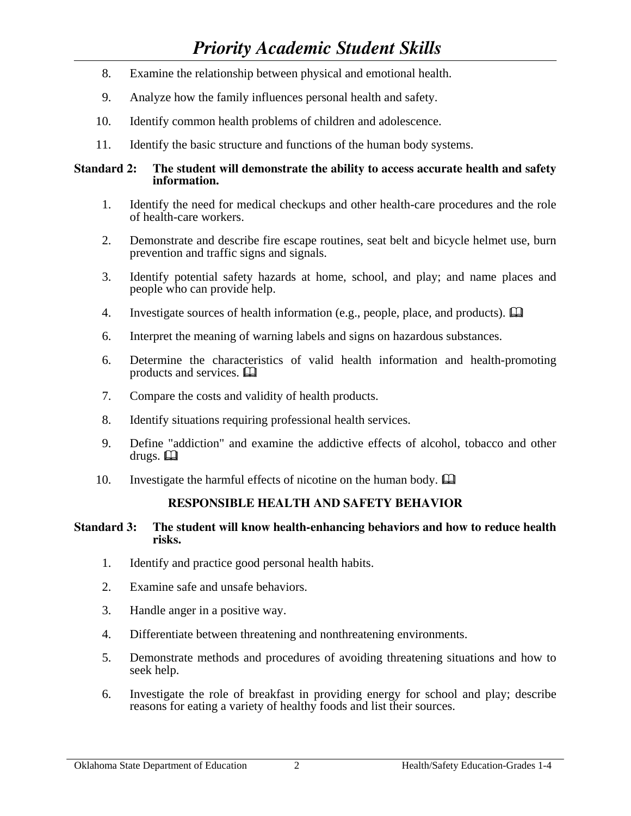- 8. Examine the relationship between physical and emotional health.
- 9. Analyze how the family influences personal health and safety.
- 10. Identify common health problems of children and adolescence.
- 11. Identify the basic structure and functions of the human body systems.

## **Standard 2: The student will demonstrate the ability to access accurate health and safety information.**

- 1. Identify the need for medical checkups and other health-care procedures and the role of health-care workers.
- 2. Demonstrate and describe fire escape routines, seat belt and bicycle helmet use, burn prevention and traffic signs and signals.
- 3. Identify potential safety hazards at home, school, and play; and name places and people who can provide help.
- 4. Investigate sources of health information (e.g., people, place, and products).  $\Box$
- 6. Interpret the meaning of warning labels and signs on hazardous substances.
- 6. Determine the characteristics of valid health information and health-promoting products and services.  $\Box$ <br>7. Compare the costs and val
- Compare the costs and validity of health products.
- 8. Identify situations requiring professional health services.
- 9. Define "addiction" and examine the addictive effects of alcohol, tobacco and other drugs.  $\Box$
- 10. Investigate the harmful effects of nicotine on the human body.  $\Box$

## **RESPONSIBLE HEALTH AND SAFETY BEHAVIOR**

## **Standard 3: The student will know health-enhancing behaviors and how to reduce health risks.**

- 1. Identify and practice good personal health habits.
- 2. Examine safe and unsafe behaviors.
- 3. Handle anger in a positive way.
- 4. Differentiate between threatening and nonthreatening environments.
- 5. Demonstrate methods and procedures of avoiding threatening situations and how to seek help.
- 6. Investigate the role of breakfast in providing energy for school and play; describe reasons for eating a variety of healthy foods and list their sources.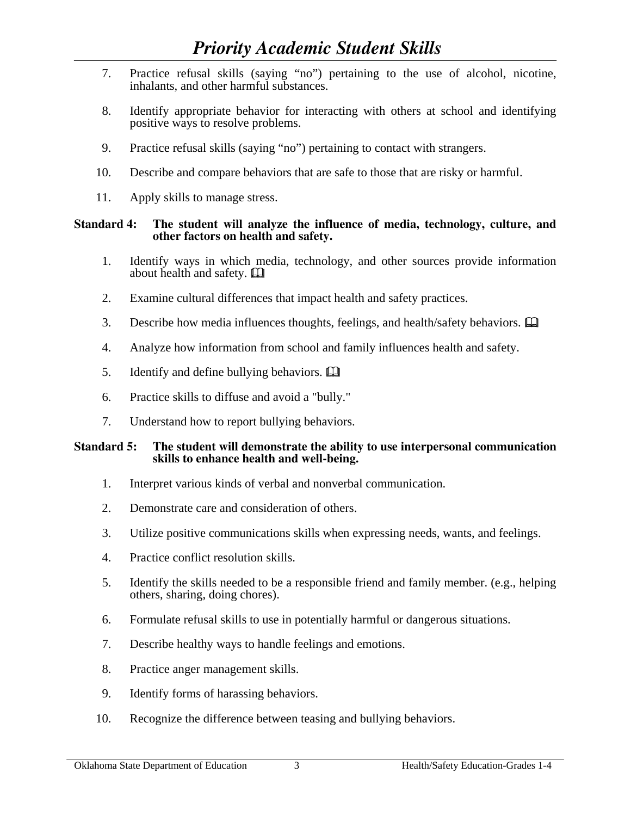# *Priority Academic Student Skills*

- 7. Practice refusal skills (saying "no") pertaining to the use of alcohol, nicotine, inhalants, and other harmful substances.
- 8. Identify appropriate behavior for interacting with others at school and identifying positive ways to resolve problems.
- 9. Practice refusal skills (saying "no") pertaining to contact with strangers.
- 10. Describe and compare behaviors that are safe to those that are risky or harmful.
- 11. Apply skills to manage stress.

## **Standard 4: The student will analyze the influence of media, technology, culture, and other factors on health and safety.**

- 1. Identify ways in which media, technology, and other sources provide information about health and safety.
- 2. Examine cultural differences that impact health and safety practices.
- 3. Describe how media influences thoughts, feelings, and health/safety behaviors.  $\Box$
- 4. Analyze how information from school and family influences health and safety.
- 5. Identify and define bullying behaviors.  $\mathbf{\Box}$
- 6. Practice skills to diffuse and avoid a "bully."
- 7. Understand how to report bullying behaviors.

## **Standard 5: The student will demonstrate the ability to use interpersonal communication skills to enhance health and well-being.**

- 1. Interpret various kinds of verbal and nonverbal communication.
- 2. Demonstrate care and consideration of others.
- 3. Utilize positive communications skills when expressing needs, wants, and feelings.
- 4. Practice conflict resolution skills.
- 5. Identify the skills needed to be a responsible friend and family member. (e.g., helping others, sharing, doing chores).
- 6. Formulate refusal skills to use in potentially harmful or dangerous situations.
- 7. Describe healthy ways to handle feelings and emotions.
- 8. Practice anger management skills.
- 9. Identify forms of harassing behaviors.
- 10. Recognize the difference between teasing and bullying behaviors.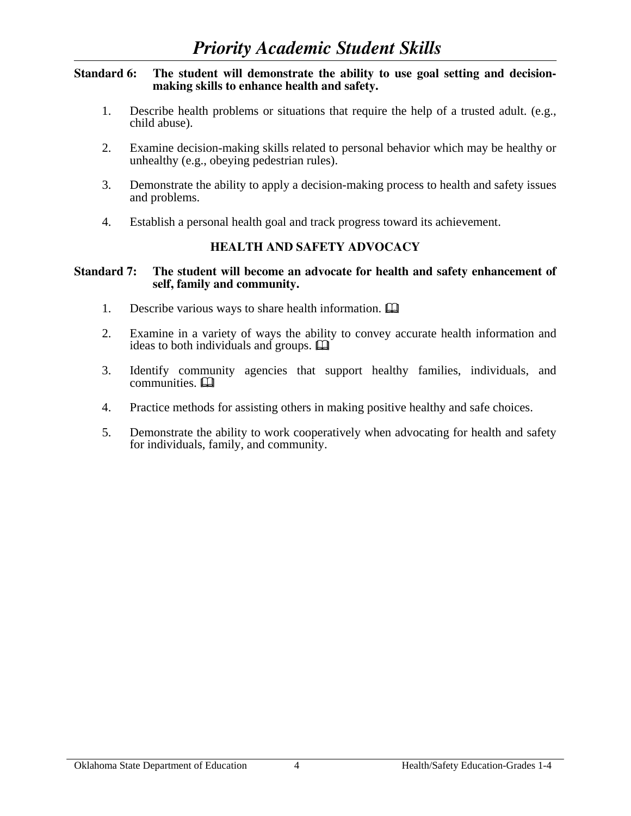#### **Standard 6: The student will demonstrate the ability to use goal setting and decisionmaking skills to enhance health and safety.**

- 1. Describe health problems or situations that require the help of a trusted adult. (e.g., child abuse).
- 2. Examine decision-making skills related to personal behavior which may be healthy or unhealthy (e.g., obeying pedestrian rules).
- 3. Demonstrate the ability to apply a decision-making process to health and safety issues and problems.
- 4. Establish a personal health goal and track progress toward its achievement.

## **HEALTH AND SAFETY ADVOCACY**

#### **Standard 7: The student will become an advocate for health and safety enhancement of self, family and community.**

- 1. Describe various ways to share health information.
- 2. Examine in a variety of ways the ability to convey accurate health information and ideas to both individuals and groups.  $\Box$
- 3. Identify community agencies that support healthy families, individuals, and communities.  $\square$
- 4. Practice methods for assisting others in making positive healthy and safe choices.
- 5. Demonstrate the ability to work cooperatively when advocating for health and safety for individuals, family, and community.